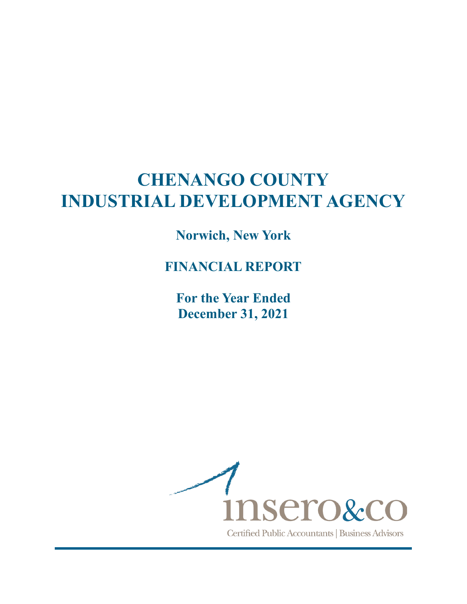**Norwich, New York**

**FINANCIAL REPORT**

**For the Year Ended December 31, 2021**

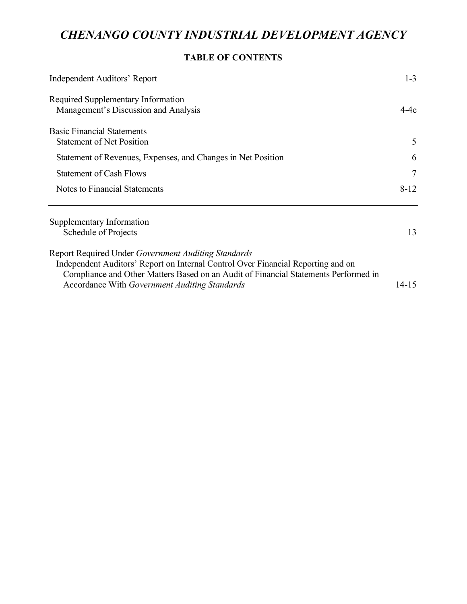## **TABLE OF CONTENTS**

| Independent Auditors' Report                                                                                                                                                                                                                                                    |           |  |  |  |  |  |
|---------------------------------------------------------------------------------------------------------------------------------------------------------------------------------------------------------------------------------------------------------------------------------|-----------|--|--|--|--|--|
| Required Supplementary Information<br>Management's Discussion and Analysis                                                                                                                                                                                                      | 4-4e      |  |  |  |  |  |
| <b>Basic Financial Statements</b><br><b>Statement of Net Position</b>                                                                                                                                                                                                           | 5         |  |  |  |  |  |
| Statement of Revenues, Expenses, and Changes in Net Position                                                                                                                                                                                                                    | 6         |  |  |  |  |  |
| <b>Statement of Cash Flows</b>                                                                                                                                                                                                                                                  | 7         |  |  |  |  |  |
| <b>Notes to Financial Statements</b>                                                                                                                                                                                                                                            | $8-12$    |  |  |  |  |  |
| Supplementary Information<br>Schedule of Projects                                                                                                                                                                                                                               | 13        |  |  |  |  |  |
| Report Required Under Government Auditing Standards<br>Independent Auditors' Report on Internal Control Over Financial Reporting and on<br>Compliance and Other Matters Based on an Audit of Financial Statements Performed in<br>Accordance With Government Auditing Standards | $14 - 15$ |  |  |  |  |  |
|                                                                                                                                                                                                                                                                                 |           |  |  |  |  |  |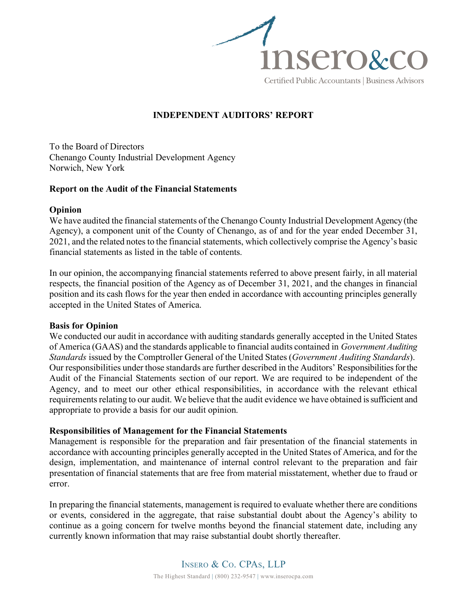

## **INDEPENDENT AUDITORS' REPORT**

To the Board of Directors Chenango County Industrial Development Agency Norwich, New York

## **Report on the Audit of the Financial Statements**

### **Opinion**

We have audited the financial statements of the Chenango County Industrial Development Agency (the Agency), a component unit of the County of Chenango, as of and for the year ended December 31, 2021, and the related notes to the financial statements, which collectively comprise the Agency's basic financial statements as listed in the table of contents.

In our opinion, the accompanying financial statements referred to above present fairly, in all material respects, the financial position of the Agency as of December 31, 2021, and the changes in financial position and its cash flows for the year then ended in accordance with accounting principles generally accepted in the United States of America.

#### **Basis for Opinion**

We conducted our audit in accordance with auditing standards generally accepted in the United States of America (GAAS) and the standards applicable to financial audits contained in *Government Auditing Standards* issued by the Comptroller General of the United States (*Government Auditing Standards*). Our responsibilities under those standards are further described in the Auditors' Responsibilities for the Audit of the Financial Statements section of our report. We are required to be independent of the Agency, and to meet our other ethical responsibilities, in accordance with the relevant ethical requirements relating to our audit. We believe that the audit evidence we have obtained is sufficient and appropriate to provide a basis for our audit opinion.

## **Responsibilities of Management for the Financial Statements**

Management is responsible for the preparation and fair presentation of the financial statements in accordance with accounting principles generally accepted in the United States of America, and for the design, implementation, and maintenance of internal control relevant to the preparation and fair presentation of financial statements that are free from material misstatement, whether due to fraud or error.

In preparing the financial statements, management is required to evaluate whether there are conditions or events, considered in the aggregate, that raise substantial doubt about the Agency's ability to continue as a going concern for twelve months beyond the financial statement date, including any currently known information that may raise substantial doubt shortly thereafter.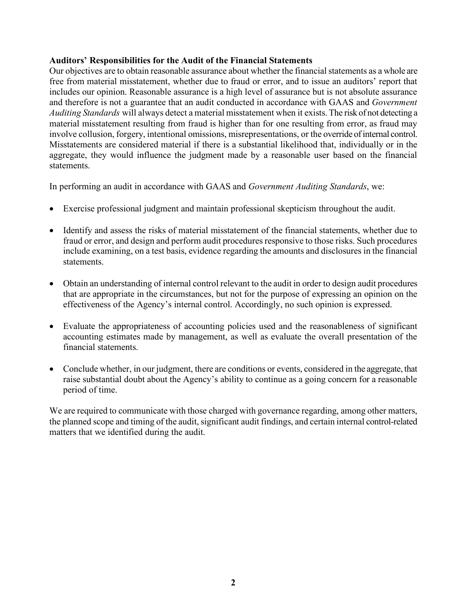## **Auditors' Responsibilities for the Audit of the Financial Statements**

Our objectives are to obtain reasonable assurance about whether the financial statements as a whole are free from material misstatement, whether due to fraud or error, and to issue an auditors' report that includes our opinion. Reasonable assurance is a high level of assurance but is not absolute assurance and therefore is not a guarantee that an audit conducted in accordance with GAAS and *Government Auditing Standards* will always detect a material misstatement when it exists. The risk of not detecting a material misstatement resulting from fraud is higher than for one resulting from error, as fraud may involve collusion, forgery, intentional omissions, misrepresentations, or the override of internal control. Misstatements are considered material if there is a substantial likelihood that, individually or in the aggregate, they would influence the judgment made by a reasonable user based on the financial statements.

In performing an audit in accordance with GAAS and *Government Auditing Standards*, we:

- Exercise professional judgment and maintain professional skepticism throughout the audit.
- Identify and assess the risks of material misstatement of the financial statements, whether due to fraud or error, and design and perform audit procedures responsive to those risks. Such procedures include examining, on a test basis, evidence regarding the amounts and disclosures in the financial statements.
- Obtain an understanding of internal control relevant to the audit in order to design audit procedures that are appropriate in the circumstances, but not for the purpose of expressing an opinion on the effectiveness of the Agency's internal control. Accordingly, no such opinion is expressed.
- Evaluate the appropriateness of accounting policies used and the reasonableness of significant accounting estimates made by management, as well as evaluate the overall presentation of the financial statements.
- Conclude whether, in our judgment, there are conditions or events, considered in the aggregate, that raise substantial doubt about the Agency's ability to continue as a going concern for a reasonable period of time.

We are required to communicate with those charged with governance regarding, among other matters, the planned scope and timing of the audit, significant audit findings, and certain internal control-related matters that we identified during the audit.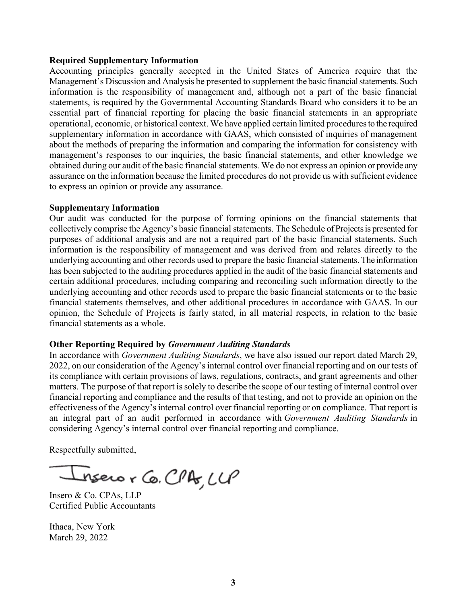#### **Required Supplementary Information**

Accounting principles generally accepted in the United States of America require that the Management's Discussion and Analysis be presented to supplement the basic financial statements. Such information is the responsibility of management and, although not a part of the basic financial statements, is required by the Governmental Accounting Standards Board who considers it to be an essential part of financial reporting for placing the basic financial statements in an appropriate operational, economic, or historical context. We have applied certain limited procedures to the required supplementary information in accordance with GAAS, which consisted of inquiries of management about the methods of preparing the information and comparing the information for consistency with management's responses to our inquiries, the basic financial statements, and other knowledge we obtained during our audit of the basic financial statements. We do not express an opinion or provide any assurance on the information because the limited procedures do not provide us with sufficient evidence to express an opinion or provide any assurance.

#### **Supplementary Information**

Our audit was conducted for the purpose of forming opinions on the financial statements that collectively comprise the Agency's basic financial statements. The Schedule of Projects is presented for purposes of additional analysis and are not a required part of the basic financial statements. Such information is the responsibility of management and was derived from and relates directly to the underlying accounting and other records used to prepare the basic financial statements. The information has been subjected to the auditing procedures applied in the audit of the basic financial statements and certain additional procedures, including comparing and reconciling such information directly to the underlying accounting and other records used to prepare the basic financial statements or to the basic financial statements themselves, and other additional procedures in accordance with GAAS. In our opinion, the Schedule of Projects is fairly stated, in all material respects, in relation to the basic financial statements as a whole.

## **Other Reporting Required by** *Government Auditing Standards*

In accordance with *Government Auditing Standards*, we have also issued our report dated March 29, 2022, on our consideration of the Agency's internal control over financial reporting and on our tests of its compliance with certain provisions of laws, regulations, contracts, and grant agreements and other matters. The purpose of that report is solely to describe the scope of our testing of internal control over financial reporting and compliance and the results of that testing, and not to provide an opinion on the effectiveness of the Agency's internal control over financial reporting or on compliance. That report is an integral part of an audit performed in accordance with *Government Auditing Standards* in considering Agency's internal control over financial reporting and compliance.

Respectfully submitted,

Inseror Co. CPA, LLP

Insero & Co. CPAs, LLP Certified Public Accountants

Ithaca, New York March 29, 2022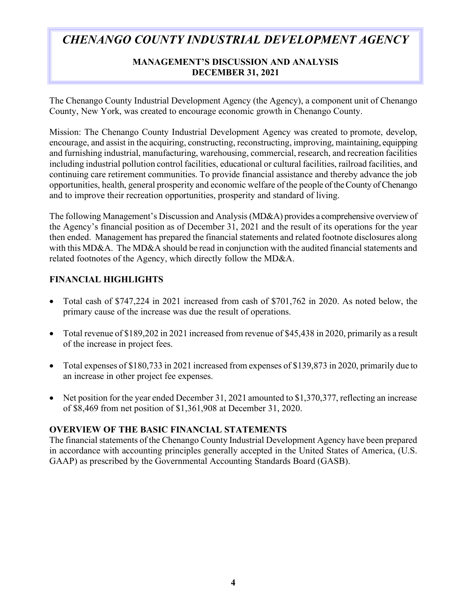## **MANAGEMENT'S DISCUSSION AND ANALYSIS DECEMBER 31, 2021**

The Chenango County Industrial Development Agency (the Agency), a component unit of Chenango County, New York, was created to encourage economic growth in Chenango County.

Mission: The Chenango County Industrial Development Agency was created to promote, develop, encourage, and assist in the acquiring, constructing, reconstructing, improving, maintaining, equipping and furnishing industrial, manufacturing, warehousing, commercial, research, and recreation facilities including industrial pollution control facilities, educational or cultural facilities, railroad facilities, and continuing care retirement communities. To provide financial assistance and thereby advance the job opportunities, health, general prosperity and economic welfare of the people of theCounty of Chenango and to improve their recreation opportunities, prosperity and standard of living.

The following Management's Discussion and Analysis (MD&A) provides a comprehensive overview of the Agency's financial position as of December 31, 2021 and the result of its operations for the year then ended. Management has prepared the financial statements and related footnote disclosures along with this MD&A. The MD&A should be read in conjunction with the audited financial statements and related footnotes of the Agency, which directly follow the MD&A.

## **FINANCIAL HIGHLIGHTS**

- Total cash of \$747,224 in 2021 increased from cash of \$701,762 in 2020. As noted below, the primary cause of the increase was due the result of operations.
- Total revenue of \$189,202 in 2021 increased from revenue of \$45,438 in 2020, primarily as a result of the increase in project fees.
- Total expenses of \$180,733 in 2021 increased from expenses of \$139,873 in 2020, primarily due to an increase in other project fee expenses.
- Net position for the year ended December 31, 2021 amounted to \$1,370,377, reflecting an increase of \$8,469 from net position of \$1,361,908 at December 31, 2020.

## **OVERVIEW OF THE BASIC FINANCIAL STATEMENTS**

The financial statements of the Chenango County Industrial Development Agency have been prepared in accordance with accounting principles generally accepted in the United States of America, (U.S. GAAP) as prescribed by the Governmental Accounting Standards Board (GASB).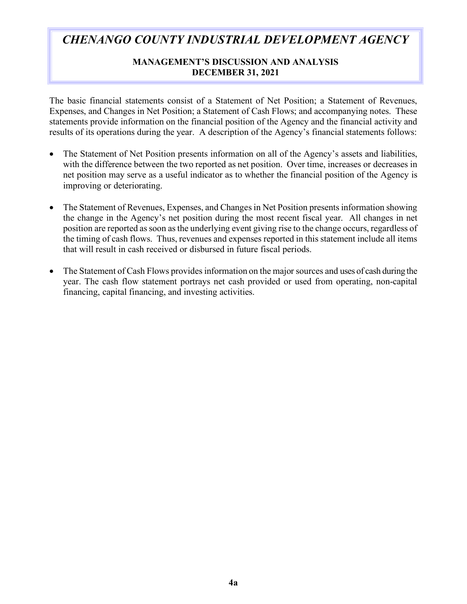## **MANAGEMENT'S DISCUSSION AND ANALYSIS DECEMBER 31, 2021**

The basic financial statements consist of a Statement of Net Position; a Statement of Revenues, Expenses, and Changes in Net Position; a Statement of Cash Flows; and accompanying notes. These statements provide information on the financial position of the Agency and the financial activity and results of its operations during the year. A description of the Agency's financial statements follows:

- The Statement of Net Position presents information on all of the Agency's assets and liabilities, with the difference between the two reported as net position. Over time, increases or decreases in net position may serve as a useful indicator as to whether the financial position of the Agency is improving or deteriorating.
- The Statement of Revenues, Expenses, and Changes in Net Position presents information showing the change in the Agency's net position during the most recent fiscal year. All changes in net position are reported as soon as the underlying event giving rise to the change occurs, regardless of the timing of cash flows. Thus, revenues and expenses reported in this statement include all items that will result in cash received or disbursed in future fiscal periods.
- The Statement of Cash Flows provides information on the major sources and uses of cash during the year. The cash flow statement portrays net cash provided or used from operating, non-capital financing, capital financing, and investing activities.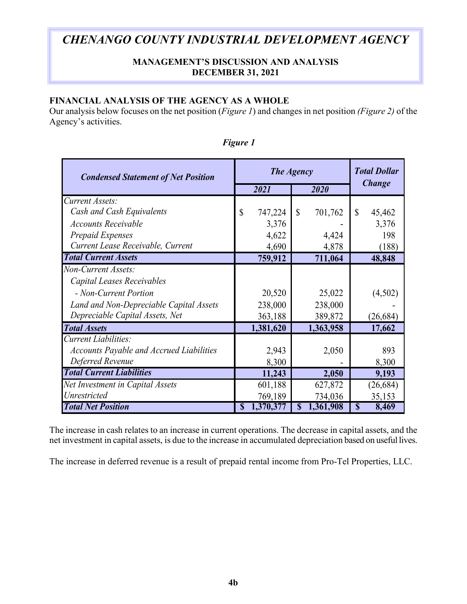## **MANAGEMENT'S DISCUSSION AND ANALYSIS DECEMBER 31, 2021**

## **FINANCIAL ANALYSIS OF THE AGENCY AS A WHOLE**

Our analysis below focuses on the net position (*Figure 1*) and changesin net position *(Figure 2)* of the Agency's activities.

| <b>Condensed Statement of Net Position</b>      | The Agency                | <b>Total Dollar</b><br><b>Change</b> |                      |  |
|-------------------------------------------------|---------------------------|--------------------------------------|----------------------|--|
|                                                 | 2021                      | 2020                                 |                      |  |
| Current Assets:                                 |                           |                                      |                      |  |
| Cash and Cash Equivalents                       | \$<br>747,224             | $\mathbb{S}$<br>701,762              | \$<br>45,462         |  |
| <b>Accounts Receivable</b>                      | 3,376                     |                                      | 3,376                |  |
| Prepaid Expenses                                | 4,622                     | 4,424                                | 198                  |  |
| Current Lease Receivable, Current               | 4,690                     | 4,878                                | (188)                |  |
| <b>Total Current Assets</b>                     | 759,912                   | 711,064                              | 48,848               |  |
| Non-Current Assets:                             |                           |                                      |                      |  |
| Capital Leases Receivables                      |                           |                                      |                      |  |
| - Non-Current Portion                           | 20,520                    | 25,022                               | (4,502)              |  |
| Land and Non-Depreciable Capital Assets         | 238,000                   | 238,000                              |                      |  |
| Depreciable Capital Assets, Net                 | 363,188                   | 389,872                              | (26, 684)            |  |
| <b>Total Assets</b>                             | 1,381,620                 | 1,363,958                            | 17,662               |  |
| Current Liabilities:                            |                           |                                      |                      |  |
| <b>Accounts Payable and Accrued Liabilities</b> | 2,943                     | 2,050                                | 893                  |  |
| Deferred Revenue                                | 8,300                     |                                      | 8,300                |  |
| <b>Total Current Liabilities</b>                | 11,243                    | 2,050                                | 9,193                |  |
| Net Investment in Capital Assets                | 601,188                   | 627,872                              | (26, 684)            |  |
| Unrestricted                                    | 769,189                   | 734,036                              | 35,153               |  |
| <b>Total Net Position</b>                       | $\mathbb{S}$<br>1,370,377 | $\mathbb{S}$<br>1,361,908            | $\mathbf S$<br>8,469 |  |

## *Figure 1*

The increase in cash relates to an increase in current operations. The decrease in capital assets, and the net investment in capital assets, is due to the increase in accumulated depreciation based on useful lives.

The increase in deferred revenue is a result of prepaid rental income from Pro-Tel Properties, LLC.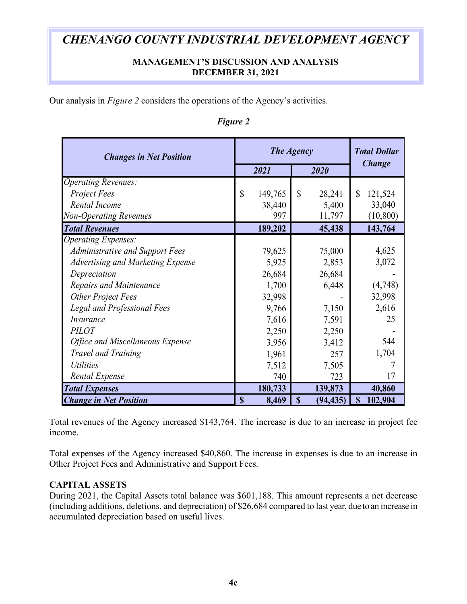## **MANAGEMENT'S DISCUSSION AND ANALYSIS DECEMBER 31, 2021**

Our analysis in *Figure 2* considers the operations of the Agency's activities.

| <b>Changes in Net Position</b>           | The Agency    | <b>Total Dollar</b><br><b>Change</b> |                         |
|------------------------------------------|---------------|--------------------------------------|-------------------------|
|                                          | 2021          | 2020                                 |                         |
| <b>Operating Revenues:</b>               |               |                                      |                         |
| Project Fees                             | \$<br>149,765 | \$<br>28,241                         | $\mathbb{S}$<br>121,524 |
| Rental Income                            | 38,440        | 5,400                                | 33,040                  |
| <b>Non-Operating Revenues</b>            | 997           | 11,797                               | (10, 800)               |
| <b>Total Revenues</b>                    | 189,202       | 45,438                               | 143,764                 |
| <b>Operating Expenses:</b>               |               |                                      |                         |
| <b>Administrative and Support Fees</b>   | 79,625        | 75,000                               | 4,625                   |
| <b>Advertising and Marketing Expense</b> | 5,925         | 2,853                                | 3,072                   |
| Depreciation                             | 26,684        | 26,684                               |                         |
| Repairs and Maintenance                  | 1,700         | 6,448                                | (4,748)                 |
| Other Project Fees                       | 32,998        |                                      | 32,998                  |
| Legal and Professional Fees              | 9,766         | 7,150                                | 2,616                   |
| <i>Insurance</i>                         | 7,616         | 7,591                                | 25                      |
| <b>PILOT</b>                             | 2,250         | 2,250                                |                         |
| <b>Office and Miscellaneous Expense</b>  | 3,956         | 3,412                                | 544                     |
| Travel and Training                      | 1,961         | 257                                  | 1,704                   |
| <i>Utilities</i>                         | 7,512         | 7,505                                | 7                       |
| Rental Expense                           | 740           | 723                                  | 17                      |
| <b>Total Expenses</b>                    | 180,733       | 139,873                              | 40,860                  |
| <b>Change in Net Position</b>            | \$<br>8,469   | $\mathbf S$<br>(94, 435)             | 102,904<br>$\mathbf S$  |

## *Figure 2*

Total revenues of the Agency increased \$143,764. The increase is due to an increase in project fee income.

Total expenses of the Agency increased \$40,860. The increase in expenses is due to an increase in Other Project Fees and Administrative and Support Fees.

## **CAPITAL ASSETS**

During 2021, the Capital Assets total balance was \$601,188. This amount represents a net decrease (including additions, deletions, and depreciation) of \$26,684 compared to last year, due to an increase in accumulated depreciation based on useful lives.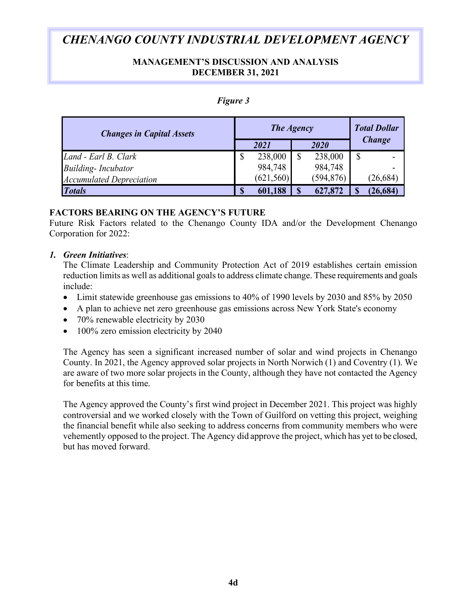### **MANAGEMENT'S DISCUSSION AND ANALYSIS DECEMBER 31, 2021**

#### *Figure 3*

| <b>Changes in Capital Assets</b> |    | The Agency |  |            |  | <b>Total Dollar</b><br><b>Change</b> |  |
|----------------------------------|----|------------|--|------------|--|--------------------------------------|--|
|                                  |    | 2021       |  | 2020       |  |                                      |  |
| Land - Earl B. Clark             | \$ | 238,000    |  | 238,000    |  |                                      |  |
| <b>Building-Incubator</b>        |    | 984,748    |  | 984,748    |  |                                      |  |
| <b>Accumulated Depreciation</b>  |    | (621, 560) |  | (594, 876) |  | (26, 684)                            |  |
| <b>Totals</b>                    |    | 601,188    |  | 627,872    |  | (26, 684)                            |  |

## **FACTORS BEARING ON THE AGENCY'S FUTURE**

Future Risk Factors related to the Chenango County IDA and/or the Development Chenango Corporation for 2022:

## *1. Green Initiatives*:

The Climate Leadership and Community Protection Act of 2019 establishes certain emission reduction limits as well as additional goals to address climate change. These requirements and goals include:

- Limit statewide greenhouse gas emissions to 40% of 1990 levels by 2030 and 85% by 2050
- A plan to achieve net zero greenhouse gas emissions across New York State's economy
- 70% renewable electricity by 2030
- 100% zero emission electricity by 2040

The Agency has seen a significant increased number of solar and wind projects in Chenango County. In 2021, the Agency approved solar projects in North Norwich (1) and Coventry (1). We are aware of two more solar projects in the County, although they have not contacted the Agency for benefits at this time.

The Agency approved the County's first wind project in December 2021. This project was highly controversial and we worked closely with the Town of Guilford on vetting this project, weighing the financial benefit while also seeking to address concerns from community members who were vehemently opposed to the project. The Agency did approve the project, which has yet to be closed, but has moved forward.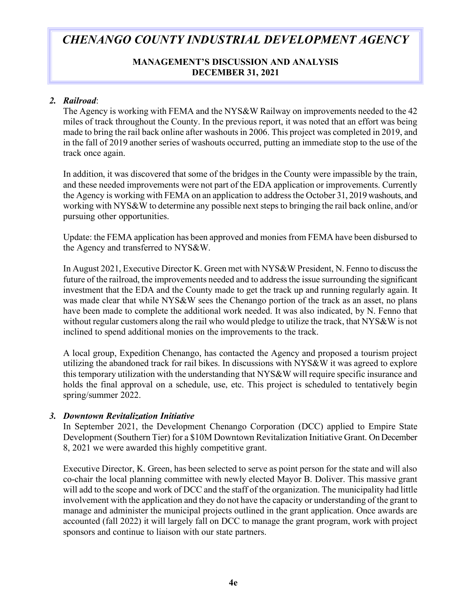## **MANAGEMENT'S DISCUSSION AND ANALYSIS DECEMBER 31, 2021**

## *2. Railroad*:

The Agency is working with FEMA and the NYS&W Railway on improvements needed to the 42 miles of track throughout the County. In the previous report, it was noted that an effort was being made to bring the rail back online after washouts in 2006. This project was completed in 2019, and in the fall of 2019 another series of washouts occurred, putting an immediate stop to the use of the track once again.

In addition, it was discovered that some of the bridges in the County were impassible by the train, and these needed improvements were not part of the EDA application or improvements. Currently the Agency is working with FEMA on an application to address the October 31, 2019 washouts, and working with NYS&W to determine any possible next steps to bringing the rail back online, and/or pursuing other opportunities.

Update: the FEMA application has been approved and monies from FEMA have been disbursed to the Agency and transferred to NYS&W.

In August 2021, Executive Director K. Green met with NYS&W President, N. Fenno to discuss the future of the railroad, the improvements needed and to address the issue surrounding the significant investment that the EDA and the County made to get the track up and running regularly again. It was made clear that while NYS&W sees the Chenango portion of the track as an asset, no plans have been made to complete the additional work needed. It was also indicated, by N. Fenno that without regular customers along the rail who would pledge to utilize the track, that NYS&W is not inclined to spend additional monies on the improvements to the track.

A local group, Expedition Chenango, has contacted the Agency and proposed a tourism project utilizing the abandoned track for rail bikes. In discussions with NYS&W it was agreed to explore this temporary utilization with the understanding that NYS&W will require specific insurance and holds the final approval on a schedule, use, etc. This project is scheduled to tentatively begin spring/summer 2022.

## *3. Downtown Revitalization Initiative*

In September 2021, the Development Chenango Corporation (DCC) applied to Empire State Development (Southern Tier) for a \$10M Downtown Revitalization Initiative Grant. On December 8, 2021 we were awarded this highly competitive grant.

Executive Director, K. Green, has been selected to serve as point person for the state and will also co-chair the local planning committee with newly elected Mayor B. Doliver. This massive grant will add to the scope and work of DCC and the staff of the organization. The municipality had little involvement with the application and they do not have the capacity or understanding of the grant to manage and administer the municipal projects outlined in the grant application. Once awards are accounted (fall 2022) it will largely fall on DCC to manage the grant program, work with project sponsors and continue to liaison with our state partners.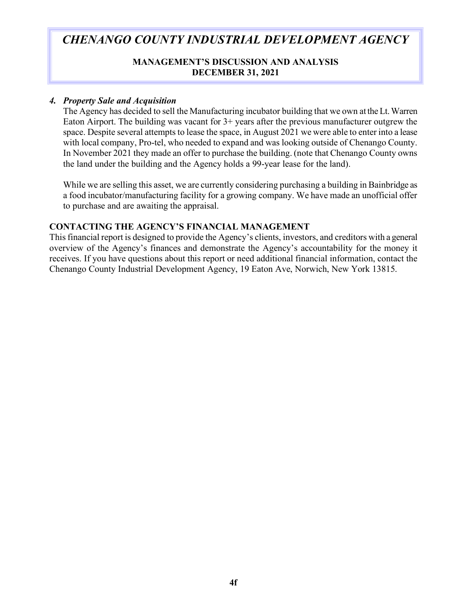## **MANAGEMENT'S DISCUSSION AND ANALYSIS DECEMBER 31, 2021**

### *4. Property Sale and Acquisition*

The Agency has decided to sell the Manufacturing incubator building that we own at the Lt. Warren Eaton Airport. The building was vacant for 3+ years after the previous manufacturer outgrew the space. Despite several attempts to lease the space, in August 2021 we were able to enter into a lease with local company, Pro-tel, who needed to expand and was looking outside of Chenango County. In November 2021 they made an offer to purchase the building. (note that Chenango County owns the land under the building and the Agency holds a 99-year lease for the land).

While we are selling this asset, we are currently considering purchasing a building in Bainbridge as a food incubator/manufacturing facility for a growing company. We have made an unofficial offer to purchase and are awaiting the appraisal.

### **CONTACTING THE AGENCY'S FINANCIAL MANAGEMENT**

This financial report is designed to provide the Agency's clients, investors, and creditors with a general overview of the Agency's finances and demonstrate the Agency's accountability for the money it receives. If you have questions about this report or need additional financial information, contact the Chenango County Industrial Development Agency, 19 Eaton Ave, Norwich, New York 13815.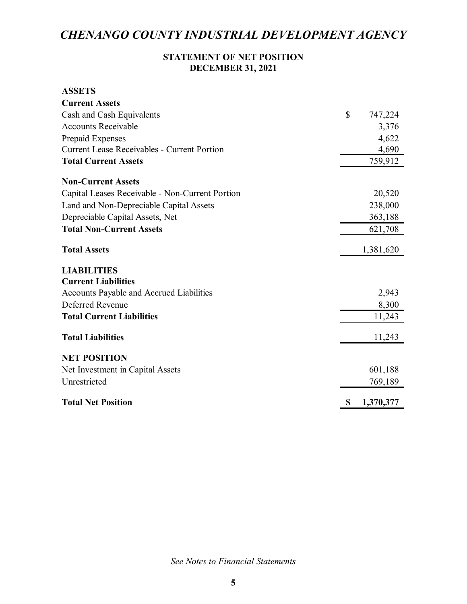## **STATEMENT OF NET POSITION DECEMBER 31, 2021**

### **ASSETS**

| <b>Current Assets</b>                              |                 |
|----------------------------------------------------|-----------------|
| Cash and Cash Equivalents                          | \$<br>747,224   |
| <b>Accounts Receivable</b>                         | 3,376           |
| Prepaid Expenses                                   | 4,622           |
| <b>Current Lease Receivables - Current Portion</b> | 4,690           |
| <b>Total Current Assets</b>                        | 759,912         |
| <b>Non-Current Assets</b>                          |                 |
| Capital Leases Receivable - Non-Current Portion    | 20,520          |
| Land and Non-Depreciable Capital Assets            | 238,000         |
| Depreciable Capital Assets, Net                    | 363,188         |
| <b>Total Non-Current Assets</b>                    | 621,708         |
| <b>Total Assets</b>                                | 1,381,620       |
| <b>LIABILITIES</b>                                 |                 |
| <b>Current Liabilities</b>                         |                 |
| <b>Accounts Payable and Accrued Liabilities</b>    | 2,943           |
| Deferred Revenue                                   | 8,300           |
| <b>Total Current Liabilities</b>                   | 11,243          |
| <b>Total Liabilities</b>                           | 11,243          |
| <b>NET POSITION</b>                                |                 |
| Net Investment in Capital Assets                   | 601,188         |
| Unrestricted                                       | 769,189         |
| <b>Total Net Position</b>                          | \$<br>1,370,377 |

*See Notes to Financial Statements*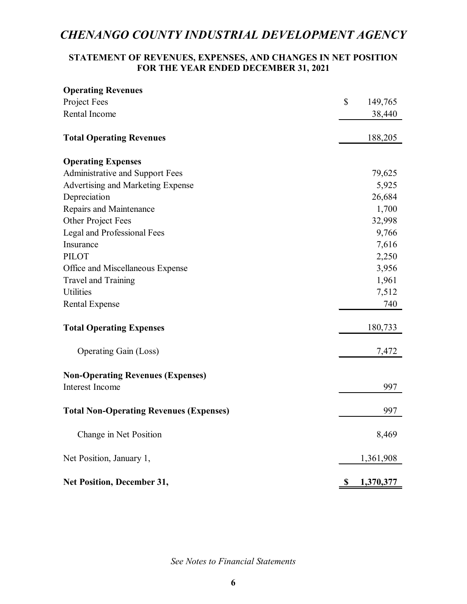## **STATEMENT OF REVENUES, EXPENSES, AND CHANGES IN NET POSITION FOR THE YEAR ENDED DECEMBER 31, 2021**

| <b>Operating Revenues</b>                      |    |           |
|------------------------------------------------|----|-----------|
| Project Fees                                   | \$ | 149,765   |
| Rental Income                                  |    | 38,440    |
| <b>Total Operating Revenues</b>                |    | 188,205   |
| <b>Operating Expenses</b>                      |    |           |
| Administrative and Support Fees                |    | 79,625    |
| Advertising and Marketing Expense              |    | 5,925     |
| Depreciation                                   |    | 26,684    |
| Repairs and Maintenance                        |    | 1,700     |
| Other Project Fees                             |    | 32,998    |
| Legal and Professional Fees                    |    | 9,766     |
| Insurance                                      |    | 7,616     |
| <b>PILOT</b>                                   |    | 2,250     |
| Office and Miscellaneous Expense               |    | 3,956     |
| <b>Travel and Training</b>                     |    | 1,961     |
| <b>Utilities</b>                               |    | 7,512     |
| <b>Rental Expense</b>                          |    | 740       |
| <b>Total Operating Expenses</b>                |    | 180,733   |
| <b>Operating Gain (Loss)</b>                   |    | 7,472     |
| <b>Non-Operating Revenues (Expenses)</b>       |    |           |
| Interest Income                                |    | 997       |
| <b>Total Non-Operating Revenues (Expenses)</b> |    | 997       |
| Change in Net Position                         |    | 8,469     |
| Net Position, January 1,                       |    | 1,361,908 |
| <b>Net Position, December 31,</b>              | Y. | 1,370,377 |

*See Notes to Financial Statements*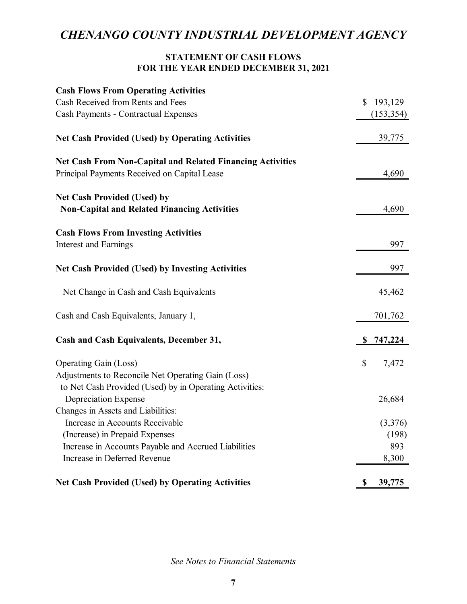## **STATEMENT OF CASH FLOWS FOR THE YEAR ENDED DECEMBER 31, 2021**

| <b>Cash Flows From Operating Activities</b>                           |               |
|-----------------------------------------------------------------------|---------------|
| Cash Received from Rents and Fees                                     | \$<br>193,129 |
| Cash Payments - Contractual Expenses                                  | (153, 354)    |
| <b>Net Cash Provided (Used) by Operating Activities</b>               | 39,775        |
| <b>Net Cash From Non-Capital and Related Financing Activities</b>     |               |
| Principal Payments Received on Capital Lease                          | 4,690         |
| <b>Net Cash Provided (Used) by</b>                                    |               |
| <b>Non-Capital and Related Financing Activities</b>                   | 4,690         |
| <b>Cash Flows From Investing Activities</b>                           |               |
| Interest and Earnings                                                 | 997           |
| <b>Net Cash Provided (Used) by Investing Activities</b>               | 997           |
| Net Change in Cash and Cash Equivalents                               | 45,462        |
| Cash and Cash Equivalents, January 1,                                 | 701,762       |
| Cash and Cash Equivalents, December 31,                               | 747,224       |
| <b>Operating Gain (Loss)</b>                                          | \$<br>7,472   |
| Adjustments to Reconcile Net Operating Gain (Loss)                    |               |
| to Net Cash Provided (Used) by in Operating Activities:               |               |
| <b>Depreciation Expense</b>                                           | 26,684        |
| Changes in Assets and Liabilities:<br>Increase in Accounts Receivable | (3,376)       |
| (Increase) in Prepaid Expenses                                        | (198)         |
| Increase in Accounts Payable and Accrued Liabilities                  | 893           |
| Increase in Deferred Revenue                                          | 8,300         |
| <b>Net Cash Provided (Used) by Operating Activities</b>               | \$<br>39,775  |

*See Notes to Financial Statements*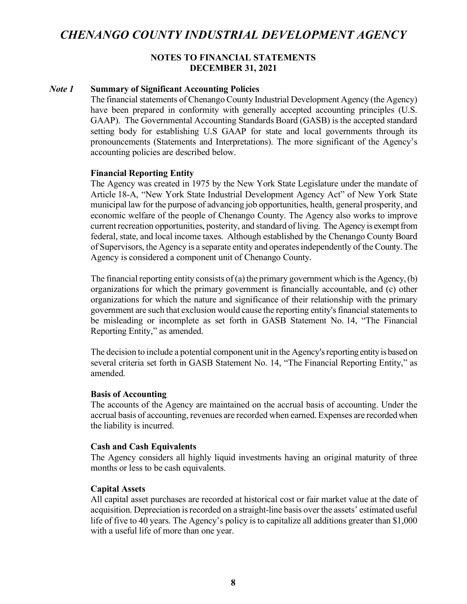### **NOTES TO FINANCIAL STATEMENTS DECEMBER 31, 2021**

#### *Note 1* **Summary of Significant Accounting Policies**

The financial statements of Chenango County Industrial Development Agency (the Agency) have been prepared in conformity with generally accepted accounting principles (U.S. GAAP). The Governmental Accounting Standards Board (GASB) is the accepted standard setting body for establishing U.S GAAP for state and local governments through its pronouncements (Statements and Interpretations). The more significant of the Agency's accounting policies are described below.

#### **Financial Reporting Entity**

The Agency was created in 1975 by the New York State Legislature under the mandate of Article 18-A, "New York State Industrial Development Agency Act" of New York State municipal law for the purpose of advancing job opportunities, health, general prosperity, and economic welfare of the people of Chenango County. The Agency also works to improve current recreation opportunities, posterity, and standard of living. The Agency is exempt from federal, state, and local income taxes. Although established by the Chenango County Board of Supervisors, the Agency is a separate entity and operates independently of the County. The Agency is considered a component unit of Chenango County.

The financial reporting entity consists of (a) the primary government which is the Agency,  $(b)$ organizations for which the primary government is financially accountable, and (c) other organizations for which the nature and significance of their relationship with the primary government are such that exclusion would cause the reporting entity's financial statementsto be misleading or incomplete as set forth in GASB Statement No. 14, "The Financial Reporting Entity," as amended.

The decision to include a potential component unit in the Agency's reporting entity is based on several criteria set forth in GASB Statement No. 14, "The Financial Reporting Entity," as amended.

## **Basis of Accounting**

The accounts of the Agency are maintained on the accrual basis of accounting. Under the accrual basis of accounting, revenues are recorded when earned. Expenses are recorded when the liability is incurred.

#### **Cash and Cash Equivalents**

The Agency considers all highly liquid investments having an original maturity of three months or less to be cash equivalents.

## **Capital Assets**

All capital asset purchases are recorded at historical cost or fair market value at the date of acquisition. Depreciation is recorded on a straight-line basis over the assets' estimated useful life of five to 40 years. The Agency's policy is to capitalize all additions greater than \$1,000 with a useful life of more than one year.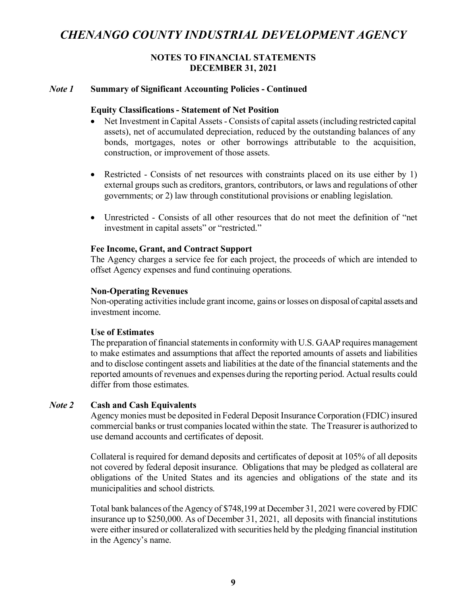## **NOTES TO FINANCIAL STATEMENTS DECEMBER 31, 2021**

### *Note 1* **Summary of Significant Accounting Policies - Continued**

#### **Equity Classifications - Statement of Net Position**

- Net Investment in Capital Assets- Consists of capital assets(including restricted capital assets), net of accumulated depreciation, reduced by the outstanding balances of any bonds, mortgages, notes or other borrowings attributable to the acquisition, construction, or improvement of those assets.
- Restricted Consists of net resources with constraints placed on its use either by 1) external groups such as creditors, grantors, contributors, or laws and regulations of other governments; or 2) law through constitutional provisions or enabling legislation.
- Unrestricted Consists of all other resources that do not meet the definition of "net investment in capital assets" or "restricted."

#### **Fee Income, Grant, and Contract Support**

The Agency charges a service fee for each project, the proceeds of which are intended to offset Agency expenses and fund continuing operations.

### **Non-Operating Revenues**

Non-operating activities include grant income, gains or losses on disposal of capital assets and investment income.

## **Use of Estimates**

The preparation of financial statements in conformity with U.S. GAAP requires management to make estimates and assumptions that affect the reported amounts of assets and liabilities and to disclose contingent assets and liabilities at the date of the financial statements and the reported amounts of revenues and expenses during the reporting period. Actual results could differ from those estimates.

## *Note 2* **Cash and Cash Equivalents**

Agency monies must be deposited in Federal Deposit Insurance Corporation (FDIC) insured commercial banks or trust companieslocated within the state. The Treasurer is authorized to use demand accounts and certificates of deposit.

Collateral is required for demand deposits and certificates of deposit at 105% of all deposits not covered by federal deposit insurance. Obligations that may be pledged as collateral are obligations of the United States and its agencies and obligations of the state and its municipalities and school districts.

Total bank balances of the Agency of \$748,199 at December 31, 2021 were covered by FDIC insurance up to \$250,000. As of December 31, 2021, all deposits with financial institutions were either insured or collateralized with securities held by the pledging financial institution in the Agency's name.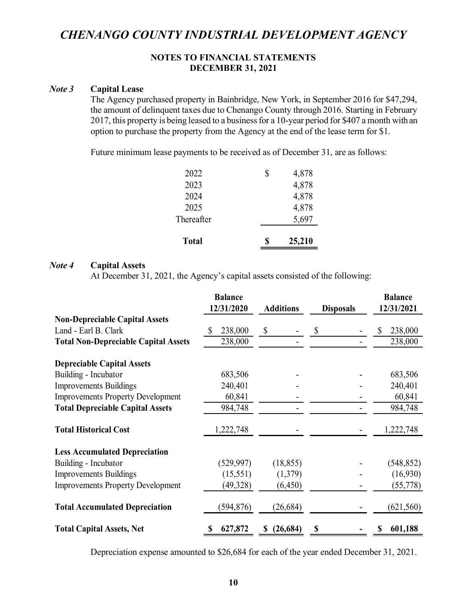#### **NOTES TO FINANCIAL STATEMENTS DECEMBER 31, 2021**

### *Note 3* **Capital Lease**

The Agency purchased property in Bainbridge, New York, in September 2016 for \$47,294, the amount of delinquent taxes due to Chenango County through 2016. Starting in February 2017, this property is being leased to a business for a 10-year period for \$407 a month with an option to purchase the property from the Agency at the end of the lease term for \$1.

Future minimum lease payments to be received as of December 31, are as follows:

| <b>Total</b> | 25,210 |
|--------------|--------|
| Thereafter   | 5,697  |
| 2025         | 4,878  |
| 2024         | 4,878  |
| 2023         | 4,878  |
| 2022         | 4,878  |

#### *Note 4* **Capital Assets**

At December 31, 2021, the Agency's capital assets consisted of the following:

|                                             | <b>Balance</b><br>12/31/2020<br><b>Additions</b> |           | <b>Disposals</b> | <b>Balance</b><br>12/31/2021 |
|---------------------------------------------|--------------------------------------------------|-----------|------------------|------------------------------|
| <b>Non-Depreciable Capital Assets</b>       |                                                  |           |                  |                              |
|                                             |                                                  |           |                  |                              |
| Land - Earl B. Clark                        | 238,000<br>S                                     | \$        | \$               | 238,000<br>S                 |
| <b>Total Non-Depreciable Capital Assets</b> | 238,000                                          |           |                  | 238,000                      |
| <b>Depreciable Capital Assets</b>           |                                                  |           |                  |                              |
| Building - Incubator                        | 683,506                                          |           |                  | 683,506                      |
| <b>Improvements Buildings</b>               | 240,401                                          |           |                  | 240,401                      |
| <b>Improvements Property Development</b>    | 60,841                                           |           |                  | 60,841                       |
| <b>Total Depreciable Capital Assets</b>     | 984,748                                          |           |                  | 984,748                      |
| <b>Total Historical Cost</b>                | 1,222,748                                        |           |                  | 1,222,748                    |
| <b>Less Accumulated Depreciation</b>        |                                                  |           |                  |                              |
| Building - Incubator                        | (529, 997)                                       | (18, 855) |                  | (548, 852)                   |
| <b>Improvements Buildings</b>               | (15,551)                                         | (1,379)   |                  | (16,930)                     |
| <b>Improvements Property Development</b>    | (49, 328)                                        | (6, 450)  |                  | (55, 778)                    |
| <b>Total Accumulated Depreciation</b>       | (594, 876)                                       | (26, 684) |                  | (621, 560)                   |
| <b>Total Capital Assets, Net</b>            | 627,872                                          | (26, 684) | \$               | 601,188                      |

Depreciation expense amounted to \$26,684 for each of the year ended December 31, 2021.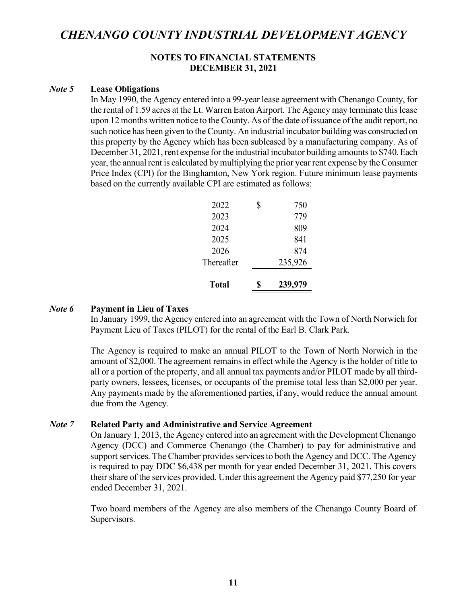### **NOTES TO FINANCIAL STATEMENTS DECEMBER 31, 2021**

#### *Note 5* **Lease Obligations**

In May 1990, the Agency entered into a 99-year lease agreement with Chenango County, for the rental of 1.59 acres at the Lt. Warren Eaton Airport. The Agency may terminate this lease upon 12 months written notice to the County. As of the date of issuance of the audit report, no such notice has been given to the County. An industrial incubator building was constructed on this property by the Agency which has been subleased by a manufacturing company. As of December 31, 2021, rent expense for the industrial incubator building amounts to \$740. Each year, the annual rent is calculated by multiplying the prior year rent expense by the Consumer Price Index (CPI) for the Binghamton, New York region. Future minimum lease payments based on the currently available CPI are estimated as follows:

| Total      | \$<br>239,979 |
|------------|---------------|
| Thereafter | 235,926       |
| 2026       | 874           |
| 2025       | 841           |
| 2024       | 809           |
| 2023       | 779           |
| 2022       | \$<br>750     |

#### *Note 6* **Payment in Lieu of Taxes**

In January 1999, the Agency entered into an agreement with the Town of North Norwich for Payment Lieu of Taxes (PILOT) for the rental of the Earl B. Clark Park.

The Agency is required to make an annual PILOT to the Town of North Norwich in the amount of \$2,000. The agreement remains in effect while the Agency is the holder of title to all or a portion of the property, and all annual tax payments and/or PILOT made by all thirdparty owners, lessees, licenses, or occupants of the premise total less than \$2,000 per year. Any payments made by the aforementioned parties, if any, would reduce the annual amount due from the Agency.

### *Note 7* **Related Party and Administrative and Service Agreement**

On January 1, 2013, the Agency entered into an agreement with the Development Chenango Agency (DCC) and Commerce Chenango (the Chamber) to pay for administrative and support services. The Chamber provides services to both the Agency and DCC. The Agency is required to pay DDC \$6,438 per month for year ended December 31, 2021. This covers their share of the services provided. Under this agreement the Agency paid \$77,250 for year ended December 31, 2021.

Two board members of the Agency are also members of the Chenango County Board of Supervisors.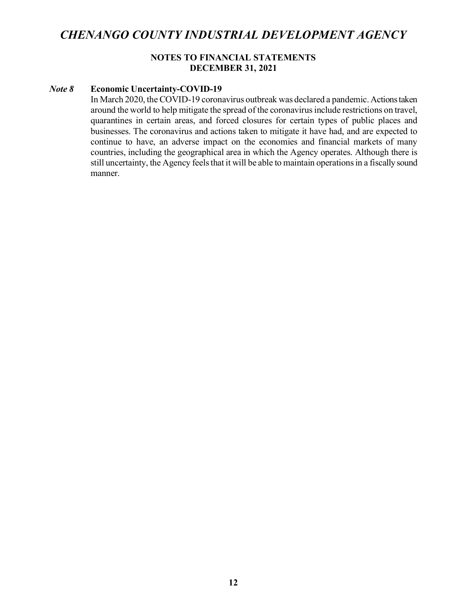### **NOTES TO FINANCIAL STATEMENTS DECEMBER 31, 2021**

#### *Note 8* **Economic Uncertainty-COVID-19**

In March 2020, the COVID-19 coronavirus outbreak was declared a pandemic. Actions taken around the world to help mitigate the spread of the coronavirus include restrictions on travel, quarantines in certain areas, and forced closures for certain types of public places and businesses. The coronavirus and actions taken to mitigate it have had, and are expected to continue to have, an adverse impact on the economies and financial markets of many countries, including the geographical area in which the Agency operates. Although there is still uncertainty, the Agency feels that it will be able to maintain operations in a fiscally sound manner.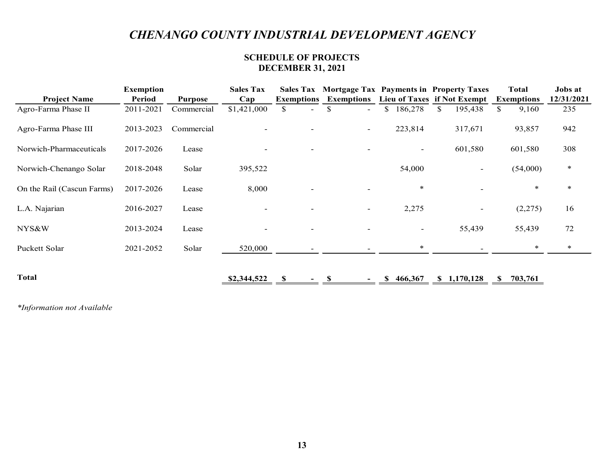## **SCHEDULE OF PROJECTS DECEMBER 31, 2021**

|                            | <b>Exemption</b> |                | <b>Sales Tax</b> |                          |                              |                           | Sales Tax Mortgage Tax Payments in Property Taxes | <b>Total</b>      | Jobs at    |
|----------------------------|------------------|----------------|------------------|--------------------------|------------------------------|---------------------------|---------------------------------------------------|-------------------|------------|
| <b>Project Name</b>        | <b>Period</b>    | <b>Purpose</b> | Cap              |                          | <b>Exemptions</b> Exemptions |                           | Lieu of Taxes if Not Exempt                       | <b>Exemptions</b> | 12/31/2021 |
| Agro-Farma Phase II        | 2011-2021        | Commercial     | \$1,421,000      | S.                       | \$                           | 186,278<br>$\mathbb{S}^-$ | 195,438<br>\$                                     | S.<br>9,160       | 235        |
| Agro-Farma Phase III       | 2013-2023        | Commercial     |                  |                          | $\overline{\phantom{0}}$     | 223,814                   | 317,671                                           | 93,857            | 942        |
| Norwich-Pharmaceuticals    | 2017-2026        | Lease          |                  |                          |                              |                           | 601,580                                           | 601,580           | 308        |
| Norwich-Chenango Solar     | 2018-2048        | Solar          | 395,522          |                          |                              | 54,000                    |                                                   | (54,000)          | ∗          |
| On the Rail (Cascun Farms) | 2017-2026        | Lease          | 8,000            |                          |                              | ∗                         |                                                   | $\ast$            | $\ast$     |
| L.A. Najarian              | 2016-2027        | Lease          |                  | $\overline{\phantom{a}}$ | $\overline{\phantom{a}}$     | 2,275                     | $\overline{\phantom{a}}$                          | (2,275)           | 16         |
| NYS&W                      | 2013-2024        | Lease          |                  |                          |                              |                           | 55,439                                            | 55,439            | 72         |
| Puckett Solar              | 2021-2052        | Solar          | 520,000          |                          |                              | ∗                         |                                                   |                   | $\ast$     |
| <b>Total</b>               |                  |                | \$2,344,522      |                          |                              | 466,367                   | $\frac{\$}{1,170,128}$                            | 703,761<br>-SS-   |            |

*\*Information not Available*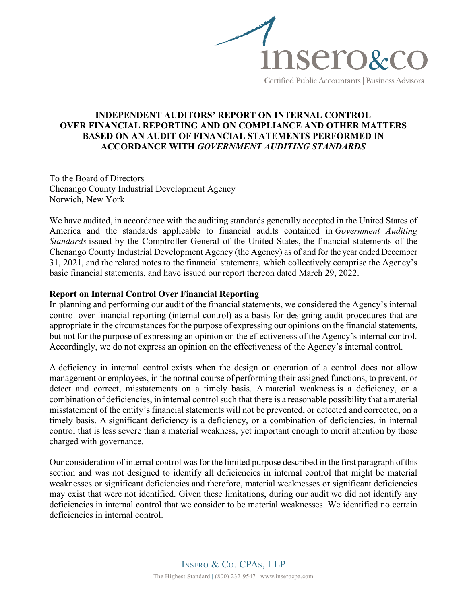

Certified Public Accountants | Business Advisors

## **INDEPENDENT AUDITORS' REPORT ON INTERNAL CONTROL OVER FINANCIAL REPORTING AND ON COMPLIANCE AND OTHER MATTERS BASED ON AN AUDIT OF FINANCIAL STATEMENTS PERFORMED IN ACCORDANCE WITH** *GOVERNMENT AUDITING STANDARDS*

To the Board of Directors Chenango County Industrial Development Agency Norwich, New York

We have audited, in accordance with the auditing standards generally accepted in the United States of America and the standards applicable to financial audits contained in *Government Auditing Standards* issued by the Comptroller General of the United States, the financial statements of the Chenango County Industrial Development Agency (the Agency) as of and for the year ended December 31, 2021, and the related notes to the financial statements, which collectively comprise the Agency's basic financial statements, and have issued our report thereon dated March 29, 2022.

### **Report on Internal Control Over Financial Reporting**

In planning and performing our audit of the financial statements, we considered the Agency's internal control over financial reporting (internal control) as a basis for designing audit procedures that are appropriate in the circumstances for the purpose of expressing our opinions on the financial statements, but not for the purpose of expressing an opinion on the effectiveness of the Agency's internal control. Accordingly, we do not express an opinion on the effectiveness of the Agency's internal control.

A deficiency in internal control exists when the design or operation of a control does not allow management or employees, in the normal course of performing their assigned functions, to prevent, or detect and correct, misstatements on a timely basis. A material weakness is a deficiency, or a combination of deficiencies, in internal control such that there is a reasonable possibility that a material misstatement of the entity's financial statements will not be prevented, or detected and corrected, on a timely basis. A significant deficiency is a deficiency, or a combination of deficiencies, in internal control that is less severe than a material weakness, yet important enough to merit attention by those charged with governance.

Our consideration of internal control was for the limited purpose described in the first paragraph of this section and was not designed to identify all deficiencies in internal control that might be material weaknesses or significant deficiencies and therefore, material weaknesses or significant deficiencies may exist that were not identified. Given these limitations, during our audit we did not identify any deficiencies in internal control that we consider to be material weaknesses. We identified no certain deficiencies in internal control.